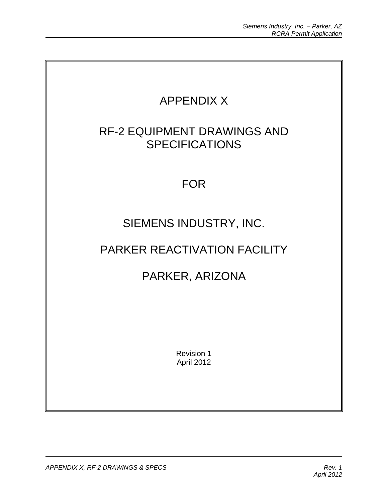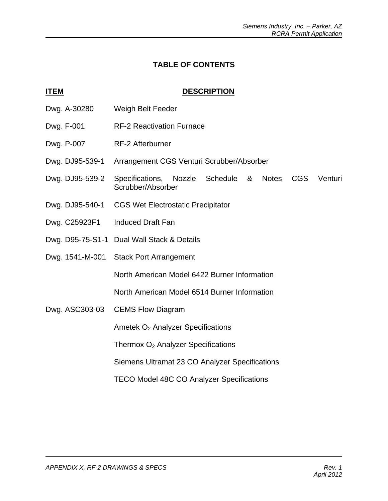## **TABLE OF CONTENTS**

## **ITEM** DESCRIPTION

- Dwg. A-30280 Weigh Belt Feeder
- Dwg. F-001 RF-2 Reactivation Furnace
- Dwg. P-007 RF-2 Afterburner
- Dwg. DJ95-539-1 Arrangement CGS Venturi Scrubber/Absorber
- Dwg. DJ95-539-2 Specifications, Nozzle Schedule & Notes CGS Venturi Scrubber/Absorber
- Dwg. DJ95-540-1 CGS Wet Electrostatic Precipitator
- Dwg. C25923F1 Induced Draft Fan
- Dwg. D95-75-S1-1 Dual Wall Stack & Details
- Dwg. 1541-M-001 Stack Port Arrangement

North American Model 6422 Burner Information

North American Model 6514 Burner Information

Dwg. ASC303-03 CEMS Flow Diagram

Ametek O2 Analyzer Specifications

Thermox  $O<sub>2</sub>$  Analyzer Specifications

Siemens Ultramat 23 CO Analyzer Specifications

TECO Model 48C CO Analyzer Specifications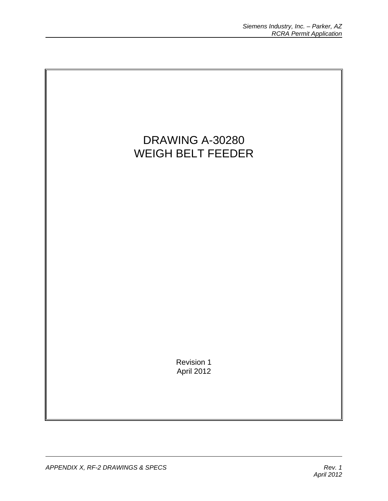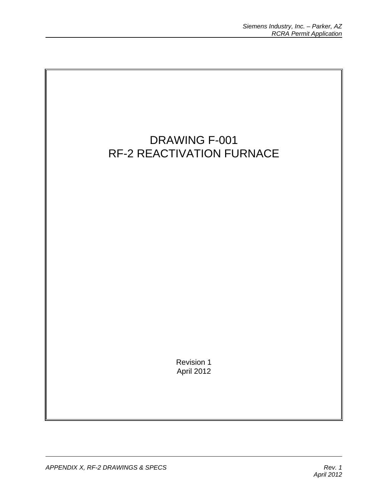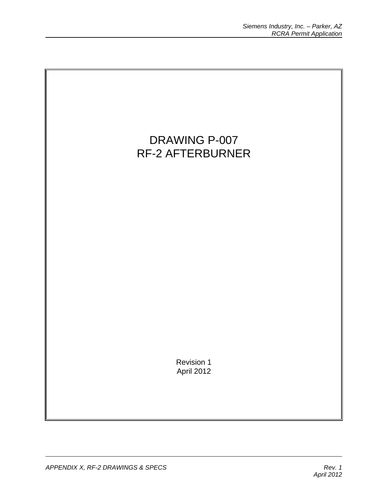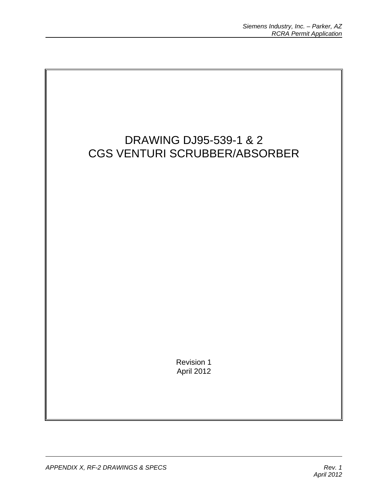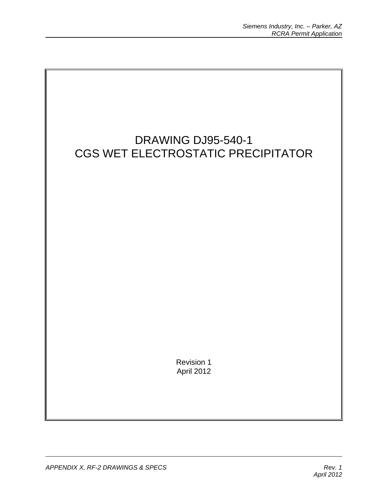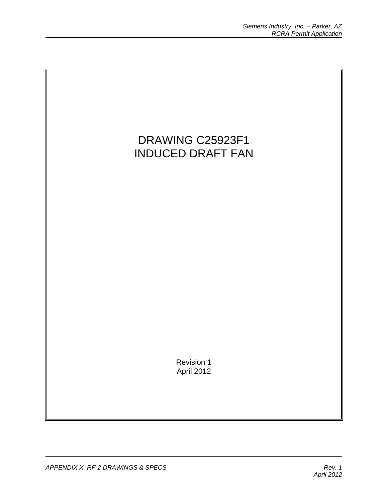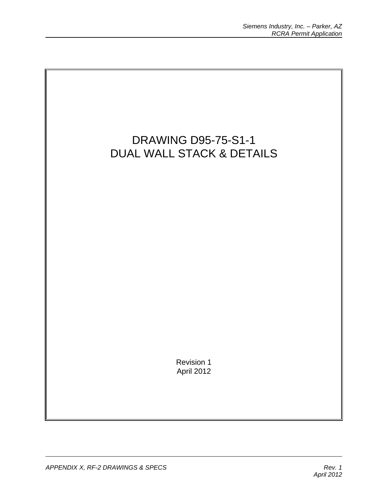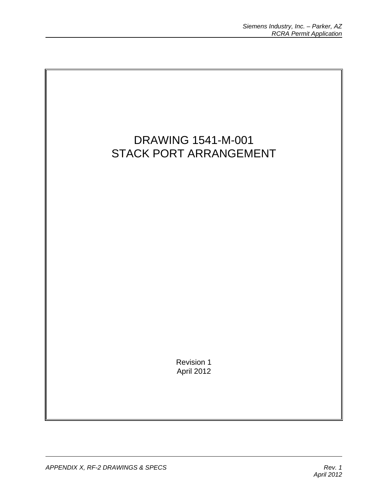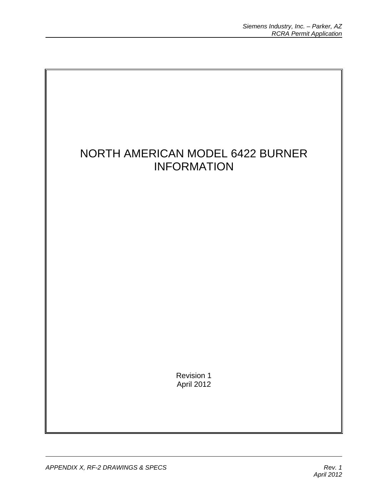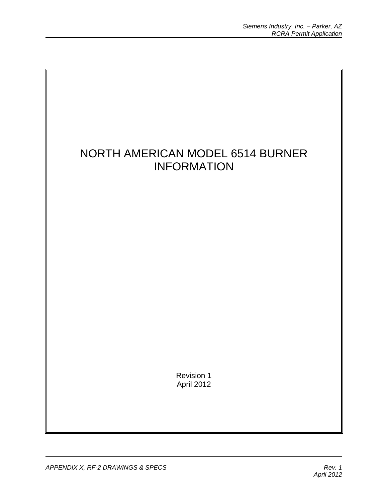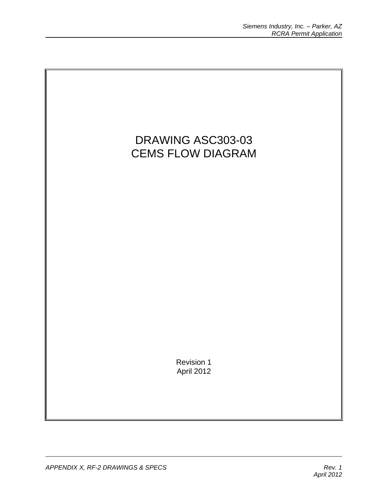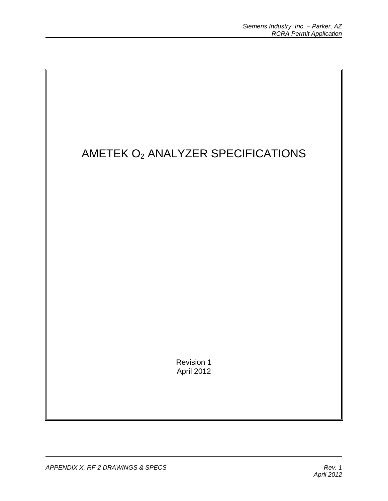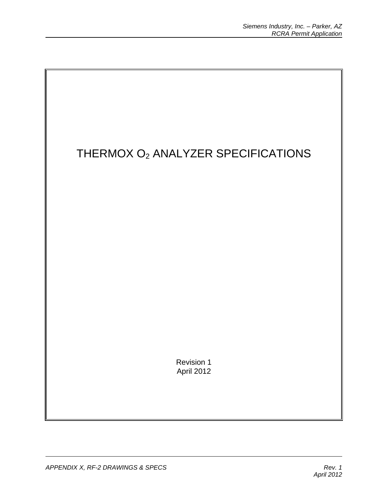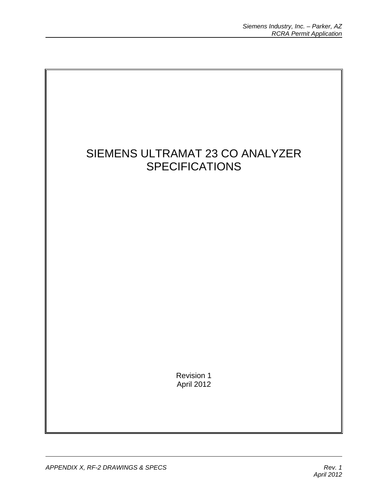